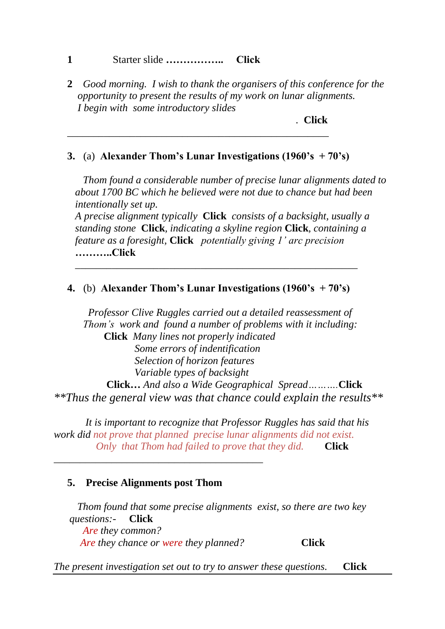## **1** Starter slide **…………….. Click**

**2** *Good morning. I wish to thank the organisers of this conference for the opportunity to present the results of my work on lunar alignments. I begin with some introductory slides* 

*.* **Click**

## **3.** (a) **Alexander Thom's Lunar Investigations (1960's + 70's)**

\_\_\_\_\_\_\_\_\_\_\_\_\_\_\_\_\_\_\_\_\_\_\_\_\_\_\_\_\_\_\_\_\_\_\_\_\_\_\_\_\_\_\_\_\_\_\_\_\_\_

 *Thom found a considerable number of precise lunar alignments dated to about 1700 BC which he believed were not due to chance but had been intentionally set up.*

*A precise alignment typically* **Click** *consists of a backsight, usually a standing stone* **Click***, indicating a skyline region* **Click***, containing a feature as a foresight,* **Click** *potentially giving 1' arc precision* **………..Click**

*\_\_\_\_\_\_\_\_\_\_\_\_\_\_\_\_\_\_\_\_\_\_\_\_\_\_\_\_\_\_\_\_\_\_\_\_\_\_\_\_\_\_\_\_\_\_\_\_\_\_\_\_\_\_*

## **4.** (b) **Alexander Thom's Lunar Investigations (1960's + 70's)**

 *Professor Clive Ruggles carried out a detailed reassessment of Thom's work and found a number of problems with it including:* **Click** *Many lines not properly indicated Some errors of indentification Selection of horizon features Variable types of backsight* **Click…** *And also a Wide Geographical Spread……….***Click** *\*\*Thus the general view was that chance could explain the results\*\** 

 *It is important to recognize that Professor Ruggles has said that his work did not prove that planned precise lunar alignments did not exist. Only that Thom had failed to prove that they did.* **Click**

## **5. Precise Alignments post Thom**

\_\_\_\_\_\_\_\_\_\_\_\_\_\_\_\_\_\_\_\_\_\_\_\_\_\_\_\_\_\_\_\_\_\_\_\_\_\_\_\_

 *Thom found that some precise alignments exist, so there are two key questions:-* **Click**  *Are they common? Are they chance or were they planned?* **Click**

*The present investigation set out to try to answer these questions.* **Click**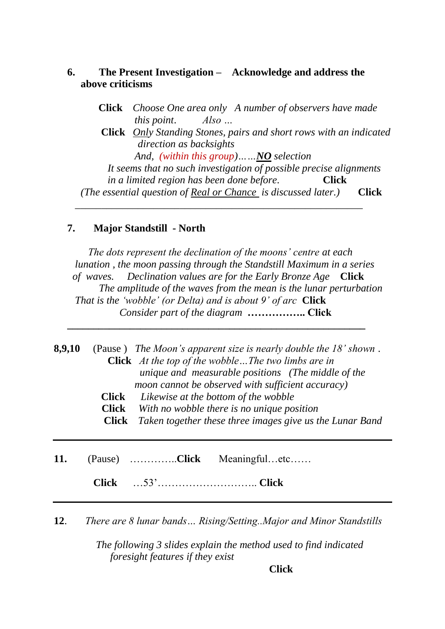## **6. The Present Investigation – Acknowledge and address the above criticisms**

 $\overline{\phantom{a}}$  ,  $\overline{\phantom{a}}$  ,  $\overline{\phantom{a}}$  ,  $\overline{\phantom{a}}$  ,  $\overline{\phantom{a}}$  ,  $\overline{\phantom{a}}$  ,  $\overline{\phantom{a}}$  ,  $\overline{\phantom{a}}$  ,  $\overline{\phantom{a}}$  ,  $\overline{\phantom{a}}$  ,  $\overline{\phantom{a}}$  ,  $\overline{\phantom{a}}$  ,  $\overline{\phantom{a}}$  ,  $\overline{\phantom{a}}$  ,  $\overline{\phantom{a}}$  ,  $\overline{\phantom{a}}$ 

 **Click** *Choose One area only A number of observers have made this point*. *Also …* **Click** *Only Standing Stones, pairs and short rows with an indicated direction as backsights And, (within this group)……NO selection It seems that no such investigation of possible precise alignments in a limited region has been done before.* **Click** *(The essential question of Real or Chance is discussed later.)* **Click**

### **7. Major Standstill - North**

*The dots represent the declination of the moons' centre at each lunation , the moon passing through the Standstill Maximum in a series of waves. Declination values are for the Early Bronze Age* **Click**  *The amplitude of the waves from the mean is the lunar perturbation That is the 'wobble' (or Delta) and is about 9' of arc* **Click** *Consider part of the diagram* **…………….. Click**

| 8,9,10 | (Pause) The Moon's apparent size is nearly double the $18$ ' shown.<br><b>Click</b> At the top of the wobble The two limbs are in<br>unique and measurable positions (The middle of the<br>moon cannot be observed with sufficient accuracy)<br>Likewise at the bottom of the wobble<br>Click<br>With no wobble there is no unique position<br><b>Click</b><br>Taken together these three images give us the Lunar Band<br><b>Click</b> |
|--------|-----------------------------------------------------------------------------------------------------------------------------------------------------------------------------------------------------------------------------------------------------------------------------------------------------------------------------------------------------------------------------------------------------------------------------------------|
| 11.    | Meaningfuletc<br><b>Click</b><br>(Pause)                                                                                                                                                                                                                                                                                                                                                                                                |

**\_\_\_\_\_\_\_\_\_\_\_\_\_\_\_\_\_\_\_\_\_\_\_\_\_\_\_\_\_\_\_\_\_\_\_\_\_\_\_\_\_\_\_\_\_\_\_\_\_\_\_\_\_\_\_\_\_**

**Click** …53'……………………….. **Click**

**12**. *There are 8 lunar bands… Rising/Setting..Major and Minor Standstills*

 *The following 3 slides explain the method used to find indicated foresight features if they exist*

**Click**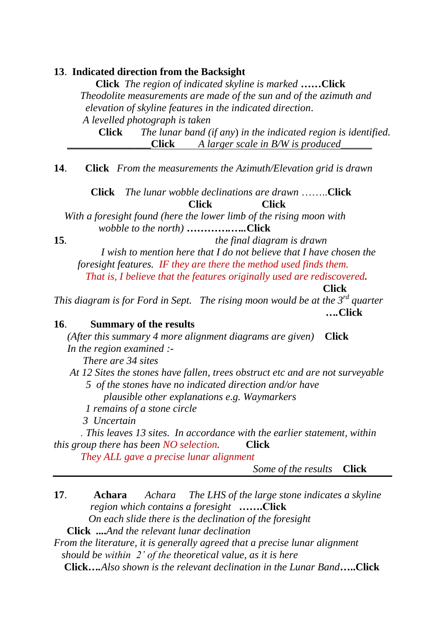### **13**. **Indicated direction from the Backsight**

**Click** *The region of indicated skyline is marked* **……Click** *Theodolite measurements are made of the sun and of the azimuth and elevation of skyline features in the indicated direction*. *A levelled photograph is taken*

 **Click** *The lunar band (if any*) *in the indicated region is identified.* **\_\_\_\_\_\_\_\_\_\_\_\_\_\_\_\_Click** *A larger scale in B/W is produced\_\_\_\_\_\_*

**14**. **Click** *From the measurements the Azimuth/Elevation grid is drawn*

 **Click** *The lunar wobble declinations are drawn* ……..**Click Click Click**

*With a foresight found (here the lower limb of the rising moon with* *wobble to the north) ………….…..***Click**

**15***. the final diagram is drawn* 

 *I wish to mention here that I do not believe that I have chosen the foresight features. IF they are there the method used finds them. That is, I believe that the features originally used are rediscovered.*

**Click**

*This diagram is for Ford in Sept. The rising moon would be at the 3rd quarter ….***Click**

**16**. **Summary of the results**

*(After this summary 4 more alignment diagrams are given)* **Click** *In the region examined :-*

*There are 34 sites* 

*At 12 Sites the stones have fallen, trees obstruct etc and are not surveyable 5 of the stones have no indicated direction and/or have* 

 *plausible other explanations e.g. Waymarkers*

 *1 remains of a stone circle*

 *3 Uncertain*

*. This leaves 13 sites. In accordance with the earlier statement, within this group there has been NO selection.* **Click**

*They ALL gave a precise lunar alignment*

*Some of the results* **Click**

**17**. **Achara** *Achara The LHS of the large stone indicates a skyline region which contains a foresight* **…….Click** *On each slide there is the declination of the foresight*   **Click ....***And the relevant lunar declination From the literature, it is generally agreed that a precise lunar alignment should be within 2' of the theoretical value, as it is here*   **Click***….Also shown is the relevant declination in the Lunar Band***…..Click**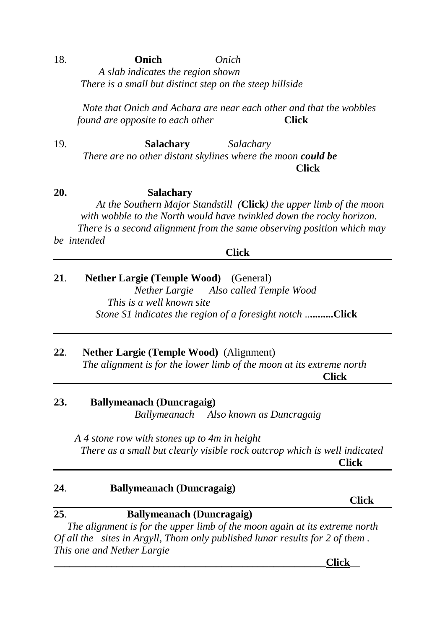# 18. **Onich** *Onich A slab indicates the region shown There is a small but distinct step on the steep hillside*

 *Note that Onich and Achara are near each other and that the wobbles found are opposite to each other* **Click** 

19. **Salachary** *Salachary There are no other distant skylines where the moon could be <u> Click</u>* 

**20. Salachary** *At the Southern Major Standstill (***Click***) the upper limb of the moon with wobble to the North would have twinkled down the rocky horizon. There is a second alignment from the same observing position which may be intended*

**Click**

**21**. **Nether Largie (Temple Wood)** (General) *Nether Largie Also called Temple Wood This is a well known site Stone S1 indicates the region of a foresight notch* ..**.........Click**

## **22**. **Nether Largie (Temple Wood)** (Alignment)

 *The alignment is for the lower limb of the moon at its extreme north* **Click Click** 

## **23. Ballymeanach (Duncragaig)**

*Ballymeanach Also known as Duncragaig*

*A 4 stone row with stones up to 4m in height There as a small but clearly visible rock outcrop which is well indicated <u> Click</u> Click* 

# **24**. **Ballymeanach (Duncragaig) Click Click 25**. **Ballymeanach (Duncragaig)** *The alignment is for the upper limb of the moon again at its extreme north Of all the sites in Argyll, Thom only published lunar results for 2 of them . This one and Nether Largie*

**\_\_\_\_\_\_\_\_\_\_\_\_\_\_\_\_\_\_\_\_\_\_\_\_\_\_\_\_\_\_\_\_\_\_\_\_\_\_\_\_\_\_\_\_\_\_\_\_\_\_\_\_Click**\_\_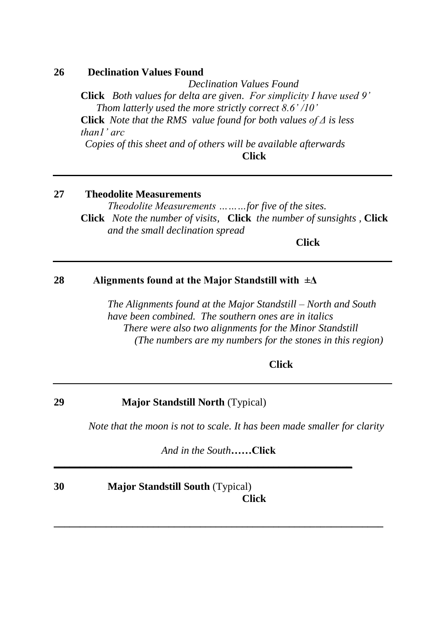### **26 Declination Values Found**

*Declination Values Found* **Click** *Both values for delta are given.**For simplicity I have used 9'* *Thom latterly used the more strictly correct 8.6' /10'*  **Click** *Note that the RMS value found for both values of Δ is less than1' arc Copies of this sheet and of others will be available afterwards*

**Click**

# **27 Theodolite Measurements**

*Theodolite Measurements ………for five of the sites.* **Click** *Note the number of visits,* **Click** *the number of sunsights ,* **Click** *and the small declination spread* 

**Click**

## **28 Alignments found at the Major Standstill with ±Δ**

*The Alignments found at the Major Standstill – North and South have been combined. The southern ones are in italics There were also two alignments for the Minor Standstill (The numbers are my numbers for the stones in this region)*

**Click**

### **29 Major Standstill North** (Typical)

*Note that the moon is not to scale. It has been made smaller for clarity*

*And in the South***……Click**

**\_\_\_\_\_\_\_\_\_\_\_\_\_\_\_\_\_\_\_\_\_\_\_\_\_\_\_\_\_\_\_\_\_\_\_\_\_\_\_\_\_\_\_\_\_\_\_\_\_\_\_\_\_\_\_\_\_\_\_\_\_\_\_**

**\_\_\_\_\_\_\_\_\_\_\_\_\_\_\_\_\_\_\_\_\_\_\_\_\_\_\_\_\_\_\_\_\_\_\_\_\_\_\_\_\_\_\_\_\_\_\_\_\_\_\_\_\_\_\_\_\_**

## **30 Major Standstill South** (Typical) **Click**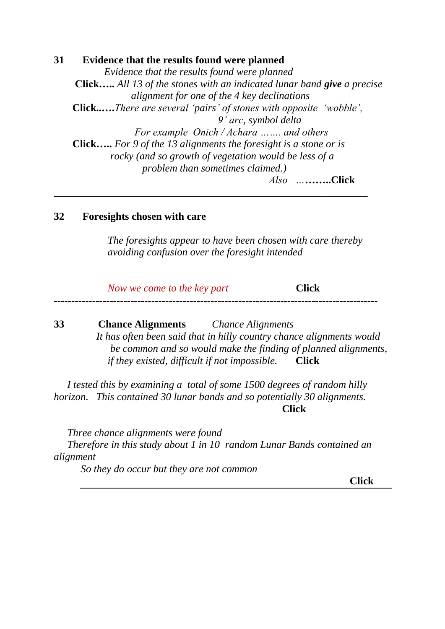**31 Evidence that the results found were planned**  *Evidence that the results found were planned*  **Click…..** *All 13 of the stones with an indicated lunar band give a precise alignment for one of the 4 key declinations* **Click..….***There are several 'pairs' of stones with opposite 'wobble', 9' arc, symbol delta For example Onich / Achara ……. and others* **Click…..** *For 9 of the 13 alignments the foresight is a stone or is rocky (and so growth of vegetation would be less of a problem than sometimes claimed.) Also …***……..Click**

*\_\_\_\_\_\_\_\_\_\_\_\_\_\_\_\_\_\_\_\_\_\_\_\_\_\_\_\_\_\_\_\_\_\_\_\_\_\_\_\_\_\_\_\_\_\_\_\_\_\_\_\_\_\_\_\_\_\_\_\_*

## **32 Foresights chosen with care**

*The foresights appear to have been chosen with care thereby avoiding confusion over the foresight intended* 

*Now we come to the key part* **Click ---------------------------------------------------------------------------------------------**

**33 Chance Alignments** *Chance Alignments* *It has often been said that in hilly country chance alignments would be common and so would make the finding of planned alignments, if they existed, difficult if not impossible.* **Click**

*I tested this by examining a total of some 1500 degrees of random hilly horizon. This contained 30 lunar bands and so potentially 30 alignments.* **Click**

*Three chance alignments were found Therefore in this study about 1 in 10 random Lunar Bands contained an alignment*

*So they do occur but they are not common* 

**Click**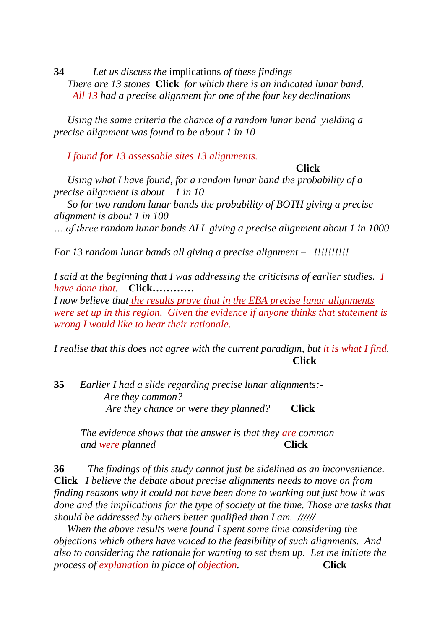**34** *Let us discuss the* implications *of these findings There are 13 stones* **Click** *for which there is an indicated lunar band. All 13 had a precise alignment for one of the four key declinations*

*Using the same criteria the chance of a random lunar band yielding a precise alignment was found to be about 1 in 10* 

*I found for 13 assessable sites 13 alignments.*

#### **Click**

*Using what I have found, for a random lunar band the probability of a precise alignment is about 1 in 10*

*So for two random lunar bands the probability of BOTH giving a precise alignment is about 1 in 100 ….of three random lunar bands ALL giving a precise alignment about 1 in 1000*

*For 13 random lunar bands all giving a precise alignment – !!!!!!!!!!*

*I said at the beginning that I was addressing the criticisms of earlier studies. I have done that.* **Click…………**

*I now believe that the results prove that in the EBA precise lunar alignments were set up in this region. Given the evidence if anyone thinks that statement is wrong I would like to hear their rationale.* 

*I realise that this does not agree with the current paradigm, but it is what I find.* **Click** 

**35** *Earlier I had a slide regarding precise lunar alignments:- Are they common? Are they chance or were they planned?* **Click**

*The evidence shows that the answer is that they are common and were planned* Click

**36** *The findings of this study cannot just be sidelined as an inconvenience.*  **Click** *I believe the debate about precise alignments needs to move on from finding reasons why it could not have been done to working out just how it was done and the implications for the type of society at the time. Those are tasks that should be addressed by others better qualified than I am. //////*

*When the above results were found I spent some time considering the objections which others have voiced to the feasibility of such alignments. And also to considering the rationale for wanting to set them up. Let me initiate the process of explanation in place of objection.* Click